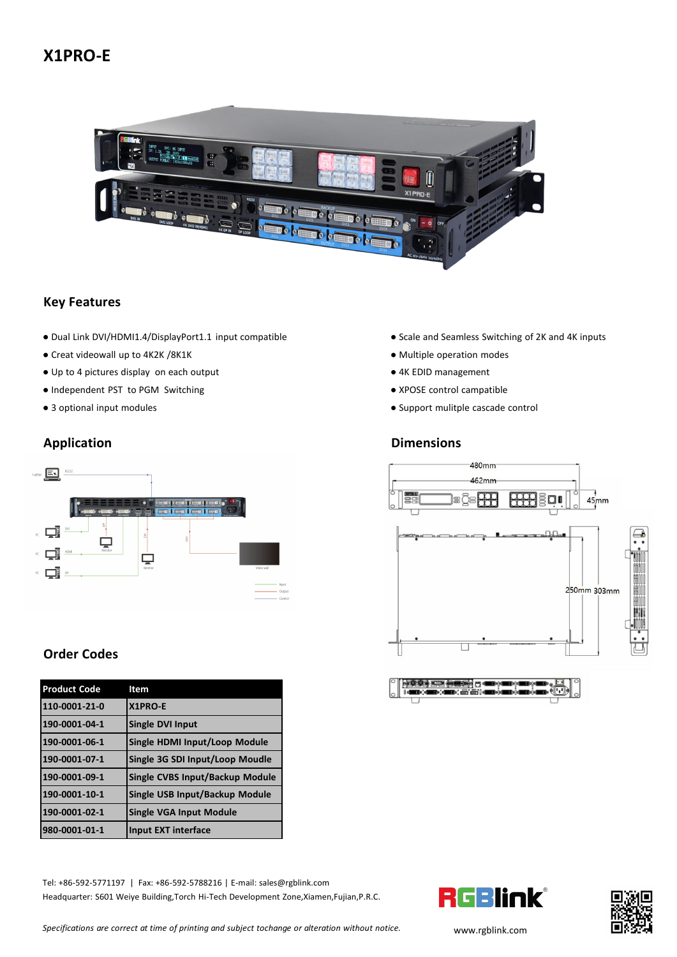# **X1PRO-E**



#### **Key Features**

- Dual Link DVI/HDMI1.4/DisplayPort1.1 input compatible Scale and Seamless Switching of 2K and 4K inputs
- Creat videowall up to 4K2K /8K1K → Multiple operation modes
- Up to 4 pictures display on each output <br>● 4K EDID management
- Independent PST to PGM Switching example and the ST to PGM Switching example and the ST to PGM Switching example and the XPOSE control campatible
- 



## **Order Codes**

| <b>Product Code</b> | Item                            | <b>PER REPLACEMENT COMMENCEMENT PLACES AND</b><br><b>IGO (GRACE) &amp; SIGO (GRACE) COMPANY (U)</b> |
|---------------------|---------------------------------|-----------------------------------------------------------------------------------------------------|
| 110-0001-21-0       | <b>X1PRO-E</b>                  |                                                                                                     |
| 190-0001-04-1       | Single DVI Input                |                                                                                                     |
| 190-0001-06-1       | Single HDMI Input/Loop Module   |                                                                                                     |
| 190-0001-07-1       | Single 3G SDI Input/Loop Moudle |                                                                                                     |
| 190-0001-09-1       | Single CVBS Input/Backup Module |                                                                                                     |
| 190-0001-10-1       | Single USB Input/Backup Module  |                                                                                                     |
| 190-0001-02-1       | Single VGA Input Module         |                                                                                                     |
| 980-0001-01-1       | Input EXT interface             |                                                                                                     |

Tel: +86-592-5771197 | Fax: +86-592-5788216 | E-mail: sales@rgblink.com<br>Headquarter: S601 Weiye Building,Torch Hi-Tech Development Zone,Xiamen,Fujian,P.R.C. Headquarter: S601 Weiye Building,Torch Hi-Tech Development Zone,Xiamen,Fujian,P.R.C.

- 
- 
- 
- 
- 3 optional input modules Support mulitple cascade control

### **Application Dimensions**